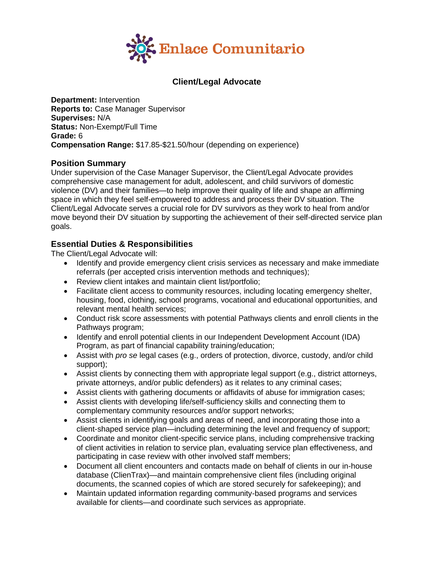

## **Client/Legal Advocate**

**Department:** Intervention **Reports to:** Case Manager Supervisor **Supervises:** N/A **Status:** Non-Exempt/Full Time **Grade:** 6 **Compensation Range:** \$17.85-\$21.50/hour (depending on experience)

#### **Position Summary**

Under supervision of the Case Manager Supervisor, the Client/Legal Advocate provides comprehensive case management for adult, adolescent, and child survivors of domestic violence (DV) and their families—to help improve their quality of life and shape an affirming space in which they feel self-empowered to address and process their DV situation. The Client/Legal Advocate serves a crucial role for DV survivors as they work to heal from and/or move beyond their DV situation by supporting the achievement of their self-directed service plan goals.

#### **Essential Duties & Responsibilities**

The Client/Legal Advocate will:

- Identify and provide emergency client crisis services as necessary and make immediate referrals (per accepted crisis intervention methods and techniques);
- Review client intakes and maintain client list/portfolio;
- Facilitate client access to community resources, including locating emergency shelter, housing, food, clothing, school programs, vocational and educational opportunities, and relevant mental health services;
- Conduct risk score assessments with potential Pathways clients and enroll clients in the Pathways program;
- Identify and enroll potential clients in our Independent Development Account (IDA) Program, as part of financial capability training/education;
- Assist with *pro se* legal cases (e.g., orders of protection, divorce, custody, and/or child support);
- Assist clients by connecting them with appropriate legal support (e.g., district attorneys, private attorneys, and/or public defenders) as it relates to any criminal cases;
- Assist clients with gathering documents or affidavits of abuse for immigration cases;
- Assist clients with developing life/self-sufficiency skills and connecting them to complementary community resources and/or support networks;
- Assist clients in identifying goals and areas of need, and incorporating those into a client-shaped service plan—including determining the level and frequency of support;
- Coordinate and monitor client-specific service plans, including comprehensive tracking of client activities in relation to service plan, evaluating service plan effectiveness, and participating in case review with other involved staff members;
- Document all client encounters and contacts made on behalf of clients in our in-house database (ClienTrax)—and maintain comprehensive client files (including original documents, the scanned copies of which are stored securely for safekeeping); and
- Maintain updated information regarding community-based programs and services available for clients—and coordinate such services as appropriate.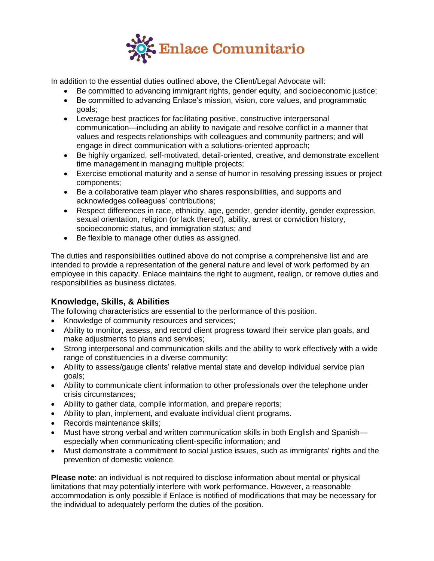

In addition to the essential duties outlined above, the Client/Legal Advocate will:

- Be committed to advancing immigrant rights, gender equity, and socioeconomic justice;
- Be committed to advancing Enlace's mission, vision, core values, and programmatic goals;
- Leverage best practices for facilitating positive, constructive interpersonal communication—including an ability to navigate and resolve conflict in a manner that values and respects relationships with colleagues and community partners; and will engage in direct communication with a solutions-oriented approach;
- Be highly organized, self-motivated, detail-oriented, creative, and demonstrate excellent time management in managing multiple projects;
- Exercise emotional maturity and a sense of humor in resolving pressing issues or project components;
- Be a collaborative team player who shares responsibilities, and supports and acknowledges colleagues' contributions;
- Respect differences in race, ethnicity, age, gender, gender identity, gender expression, sexual orientation, religion (or lack thereof), ability, arrest or conviction history, socioeconomic status, and immigration status; and
- Be flexible to manage other duties as assigned.

The duties and responsibilities outlined above do not comprise a comprehensive list and are intended to provide a representation of the general nature and level of work performed by an employee in this capacity. Enlace maintains the right to augment, realign, or remove duties and responsibilities as business dictates.

# **Knowledge, Skills, & Abilities**

The following characteristics are essential to the performance of this position.

- Knowledge of community resources and services;
- Ability to monitor, assess, and record client progress toward their service plan goals, and make adjustments to plans and services;
- Strong interpersonal and communication skills and the ability to work effectively with a wide range of constituencies in a diverse community;
- Ability to assess/gauge clients' relative mental state and develop individual service plan goals;
- Ability to communicate client information to other professionals over the telephone under crisis circumstances;
- Ability to gather data, compile information, and prepare reports;
- Ability to plan, implement, and evaluate individual client programs.
- Records maintenance skills:
- Must have strong verbal and written communication skills in both English and Spanish especially when communicating client-specific information; and
- Must demonstrate a commitment to social justice issues, such as immigrants' rights and the prevention of domestic violence.

**Please note**: an individual is not required to disclose information about mental or physical limitations that may potentially interfere with work performance. However, a reasonable accommodation is only possible if Enlace is notified of modifications that may be necessary for the individual to adequately perform the duties of the position.